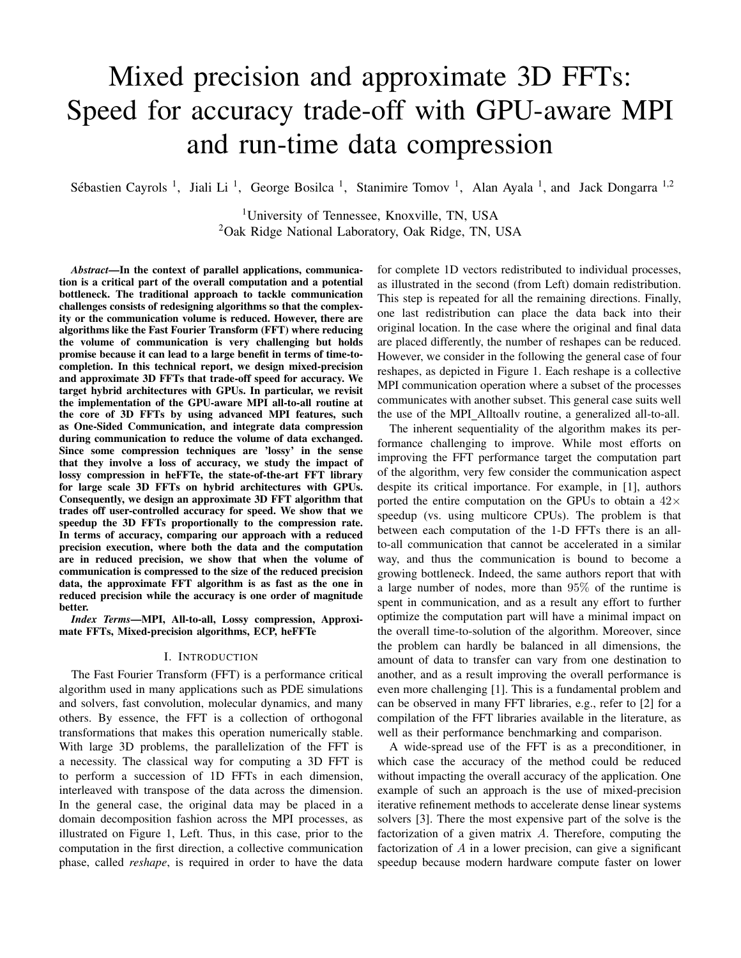# Mixed precision and approximate 3D FFTs: Speed for accuracy trade-off with GPU-aware MPI and run-time data compression

Sébastien Cayrols<sup>1</sup>, Jiali Li<sup>1</sup>, George Bosilca<sup>1</sup>, Stanimire Tomov<sup>1</sup>, Alan Ayala<sup>1</sup>, and Jack Dongarra<sup>1,2</sup>

1University of Tennessee, Knoxville, TN, USA <sup>2</sup>Oak Ridge National Laboratory, Oak Ridge, TN, USA

*Abstract*—In the context of parallel applications, communication is a critical part of the overall computation and a potential bottleneck. The traditional approach to tackle communication challenges consists of redesigning algorithms so that the complexity or the communication volume is reduced. However, there are algorithms like the Fast Fourier Transform (FFT) where reducing the volume of communication is very challenging but holds promise because it can lead to a large benefit in terms of time-tocompletion. In this technical report, we design mixed-precision and approximate 3D FFTs that trade-off speed for accuracy. We target hybrid architectures with GPUs. In particular, we revisit the implementation of the GPU-aware MPI all-to-all routine at the core of 3D FFTs by using advanced MPI features, such as One-Sided Communication, and integrate data compression during communication to reduce the volume of data exchanged. Since some compression techniques are 'lossy' in the sense that they involve a loss of accuracy, we study the impact of lossy compression in heFFTe, the state-of-the-art FFT library for large scale 3D FFTs on hybrid architectures with GPUs. Consequently, we design an approximate 3D FFT algorithm that trades off user-controlled accuracy for speed. We show that we speedup the 3D FFTs proportionally to the compression rate. In terms of accuracy, comparing our approach with a reduced precision execution, where both the data and the computation are in reduced precision, we show that when the volume of communication is compressed to the size of the reduced precision data, the approximate FFT algorithm is as fast as the one in reduced precision while the accuracy is one order of magnitude better.

*Index Terms*—MPI, All-to-all, Lossy compression, Approximate FFTs, Mixed-precision algorithms, ECP, heFFTe

### I. INTRODUCTION

The Fast Fourier Transform (FFT) is a performance critical algorithm used in many applications such as PDE simulations and solvers, fast convolution, molecular dynamics, and many others. By essence, the FFT is a collection of orthogonal transformations that makes this operation numerically stable. With large 3D problems, the parallelization of the FFT is a necessity. The classical way for computing a 3D FFT is to perform a succession of 1D FFTs in each dimension, interleaved with transpose of the data across the dimension. In the general case, the original data may be placed in a domain decomposition fashion across the MPI processes, as illustrated on Figure 1, Left. Thus, in this case, prior to the computation in the first direction, a collective communication phase, called *reshape*, is required in order to have the data

for complete 1D vectors redistributed to individual processes, as illustrated in the second (from Left) domain redistribution. This step is repeated for all the remaining directions. Finally, one last redistribution can place the data back into their original location. In the case where the original and final data are placed differently, the number of reshapes can be reduced. However, we consider in the following the general case of four reshapes, as depicted in Figure 1. Each reshape is a collective MPI communication operation where a subset of the processes communicates with another subset. This general case suits well the use of the MPI Alltoallv routine, a generalized all-to-all.

The inherent sequentiality of the algorithm makes its performance challenging to improve. While most efforts on improving the FFT performance target the computation part of the algorithm, very few consider the communication aspect despite its critical importance. For example, in [1], authors ported the entire computation on the GPUs to obtain a  $42\times$ speedup (vs. using multicore CPUs). The problem is that between each computation of the 1-D FFTs there is an allto-all communication that cannot be accelerated in a similar way, and thus the communication is bound to become a growing bottleneck. Indeed, the same authors report that with a large number of nodes, more than 95% of the runtime is spent in communication, and as a result any effort to further optimize the computation part will have a minimal impact on the overall time-to-solution of the algorithm. Moreover, since the problem can hardly be balanced in all dimensions, the amount of data to transfer can vary from one destination to another, and as a result improving the overall performance is even more challenging [1]. This is a fundamental problem and can be observed in many FFT libraries, e.g., refer to [2] for a compilation of the FFT libraries available in the literature, as well as their performance benchmarking and comparison.

A wide-spread use of the FFT is as a preconditioner, in which case the accuracy of the method could be reduced without impacting the overall accuracy of the application. One example of such an approach is the use of mixed-precision iterative refinement methods to accelerate dense linear systems solvers [3]. There the most expensive part of the solve is the factorization of a given matrix *A*. Therefore, computing the factorization of *A* in a lower precision, can give a significant speedup because modern hardware compute faster on lower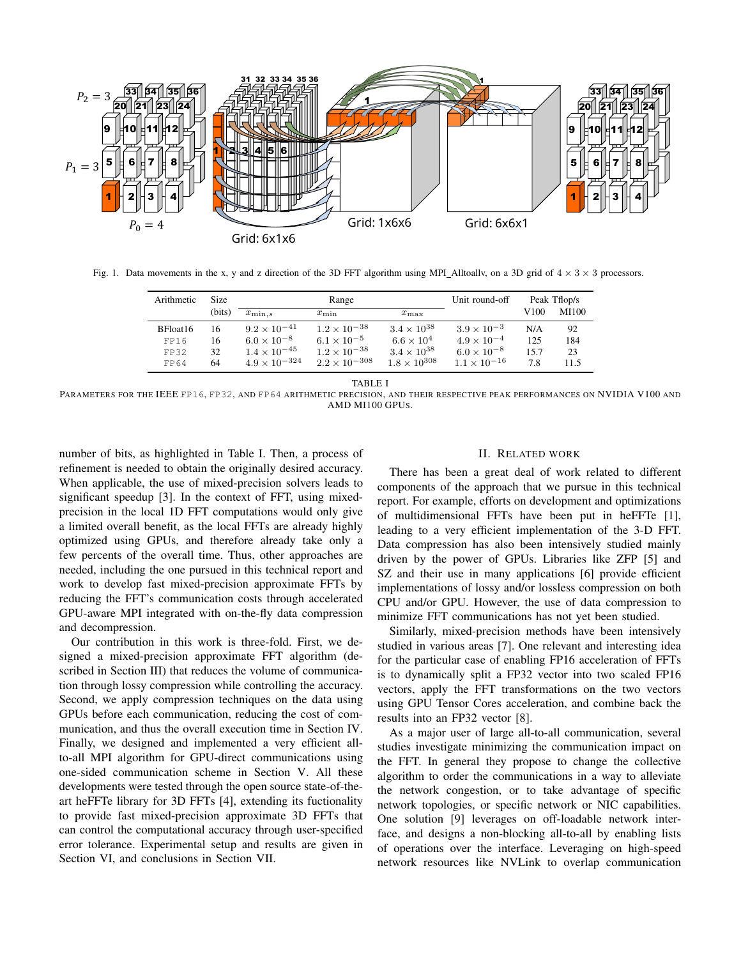

Fig. 1. Data movements in the x, y and z direction of the 3D FFT algorithm using MPI\_Alltoallv, on a 3D grid of  $4 \times 3 \times 3$  processors.

| Arithmetic | <b>Size</b> | Range                  |                        |                       | Unit round-off        | Peak Tflop/s |       |
|------------|-------------|------------------------|------------------------|-----------------------|-----------------------|--------------|-------|
|            | (bits)      | $x_{\min,s}$           | $x_{\min}$             | $x_{\text{max}}$      |                       | V100-        | MI100 |
| BFloat16   | 16          | $9.2 \times 10^{-41}$  | $1.2 \times 10^{-38}$  | $3.4 \times 10^{38}$  | $3.9 \times 10^{-3}$  | N/A          | 92    |
| FP16       | 16          | $6.0 \times 10^{-8}$   | $6.1 \times 10^{-5}$   | $6.6 \times 10^4$     | $4.9 \times 10^{-4}$  | 125          | 184   |
| FP32       | 32          | $1.4 \times 10^{-45}$  | $1.2 \times 10^{-38}$  | $3.4 \times 10^{38}$  | $6.0 \times 10^{-8}$  | 15.7         | 23    |
| FP64       | 64          | $4.9 \times 10^{-324}$ | $2.2 \times 10^{-308}$ | $1.8 \times 10^{308}$ | $1.1 \times 10^{-16}$ | 7.8          | 11.5  |

TABLE I

PARAMETERS FOR THE IEEE FP16, FP32, AND FP64 ARITHMETIC PRECISION, AND THEIR RESPECTIVE PEAK PERFORMANCES ON NVIDIA V100 AND AMD MI100 GPUS.

number of bits, as highlighted in Table I. Then, a process of refinement is needed to obtain the originally desired accuracy. When applicable, the use of mixed-precision solvers leads to significant speedup [3]. In the context of FFT, using mixedprecision in the local 1D FFT computations would only give a limited overall benefit, as the local FFTs are already highly optimized using GPUs, and therefore already take only a few percents of the overall time. Thus, other approaches are needed, including the one pursued in this technical report and work to develop fast mixed-precision approximate FFTs by reducing the FFT's communication costs through accelerated GPU-aware MPI integrated with on-the-fly data compression and decompression.

Our contribution in this work is three-fold. First, we designed a mixed-precision approximate FFT algorithm (described in Section III) that reduces the volume of communication through lossy compression while controlling the accuracy. Second, we apply compression techniques on the data using GPUs before each communication, reducing the cost of communication, and thus the overall execution time in Section IV. Finally, we designed and implemented a very efficient allto-all MPI algorithm for GPU-direct communications using one-sided communication scheme in Section V. All these developments were tested through the open source state-of-theart heFFTe library for 3D FFTs [4], extending its fuctionality to provide fast mixed-precision approximate 3D FFTs that can control the computational accuracy through user-specified error tolerance. Experimental setup and results are given in Section VI, and conclusions in Section VII.

#### II. RELATED WORK

There has been a great deal of work related to different components of the approach that we pursue in this technical report. For example, efforts on development and optimizations of multidimensional FFTs have been put in heFFTe [1], leading to a very efficient implementation of the 3-D FFT. Data compression has also been intensively studied mainly driven by the power of GPUs. Libraries like ZFP [5] and SZ and their use in many applications [6] provide efficient implementations of lossy and/or lossless compression on both CPU and/or GPU. However, the use of data compression to minimize FFT communications has not yet been studied.

Similarly, mixed-precision methods have been intensively studied in various areas [7]. One relevant and interesting idea for the particular case of enabling FP16 acceleration of FFTs is to dynamically split a FP32 vector into two scaled FP16 vectors, apply the FFT transformations on the two vectors using GPU Tensor Cores acceleration, and combine back the results into an FP32 vector [8].

As a major user of large all-to-all communication, several studies investigate minimizing the communication impact on the FFT. In general they propose to change the collective algorithm to order the communications in a way to alleviate the network congestion, or to take advantage of specific network topologies, or specific network or NIC capabilities. One solution [9] leverages on off-loadable network interface, and designs a non-blocking all-to-all by enabling lists of operations over the interface. Leveraging on high-speed network resources like NVLink to overlap communication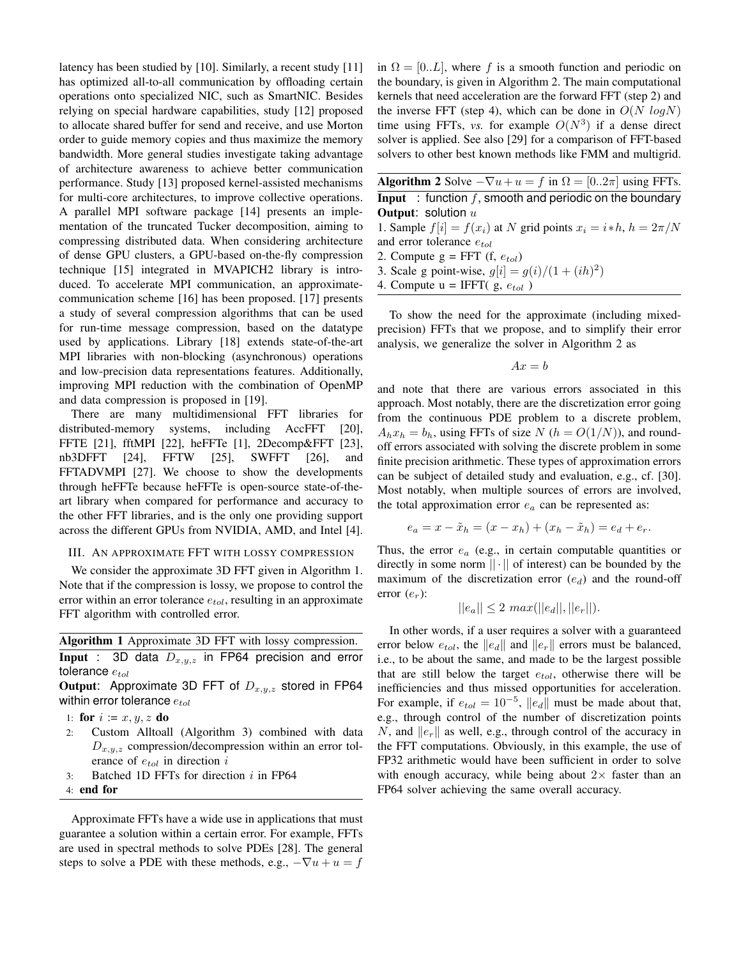latency has been studied by [10]. Similarly, a recent study [11] has optimized all-to-all communication by offloading certain operations onto specialized NIC, such as SmartNIC. Besides relying on special hardware capabilities, study [12] proposed to allocate shared buffer for send and receive, and use Morton order to guide memory copies and thus maximize the memory bandwidth. More general studies investigate taking advantage of architecture awareness to achieve better communication performance. Study [13] proposed kernel-assisted mechanisms for multi-core architectures, to improve collective operations. A parallel MPI software package [14] presents an implementation of the truncated Tucker decomposition, aiming to compressing distributed data. When considering architecture of dense GPU clusters, a GPU-based on-the-fly compression technique [15] integrated in MVAPICH2 library is introduced. To accelerate MPI communication, an approximatecommunication scheme [16] has been proposed. [17] presents a study of several compression algorithms that can be used for run-time message compression, based on the datatype used by applications. Library [18] extends state-of-the-art MPI libraries with non-blocking (asynchronous) operations and low-precision data representations features. Additionally, improving MPI reduction with the combination of OpenMP and data compression is proposed in [19].

There are many multidimensional FFT libraries for distributed-memory systems, including AccFFT [20], FFTE [21], fftMPI [22], heFFTe [1], 2Decomp&FFT [23], nb3DFFT [24], FFTW [25], SWFFT [26], and FFTADVMPI [27]. We choose to show the developments through heFFTe because heFFTe is open-source state-of-theart library when compared for performance and accuracy to the other FFT libraries, and is the only one providing support across the different GPUs from NVIDIA, AMD, and Intel [4].

### III. AN APPROXIMATE FFT WITH LOSSY COMPRESSION

We consider the approximate 3D FFT given in Algorithm 1. Note that if the compression is lossy, we propose to control the error within an error tolerance *etol*, resulting in an approximate FFT algorithm with controlled error.

# Algorithm 1 Approximate 3D FFT with lossy compression. Input : 3D data *Dx,y,z* in FP64 precision and error

tolerance *etol*

Output: Approximate 3D FFT of *Dx,y,z* stored in FP64 within error tolerance *etol*

```
1: for i := x, y, z do
```
- 2: Custom Alltoall (Algorithm 3) combined with data *Dx,y,z* compression/decompression within an error tolerance of *etol* in direction *i*
- 3: Batched 1D FFTs for direction *i* in FP64
- 4: end for

Approximate FFTs have a wide use in applications that must guarantee a solution within a certain error. For example, FFTs are used in spectral methods to solve PDEs [28]. The general steps to solve a PDE with these methods, e.g.,  $-\nabla u + u = f$  in  $\Omega = [0..L]$ , where f is a smooth function and periodic on the boundary, is given in Algorithm 2. The main computational kernels that need acceleration are the forward FFT (step 2) and the inverse FFT (step 4), which can be done in  $O(N \log N)$ time using FFTs, *vs.* for example  $O(N^3)$  if a dense direct solver is applied. See also [29] for a comparison of FFT-based solvers to other best known methods like FMM and multigrid.

| <b>Algorithm 2</b> Solve $-\nabla u + u = f$ in $\Omega = [02\pi]$ using FFTs. |  |  |  |  |  |
|--------------------------------------------------------------------------------|--|--|--|--|--|
| <b>Input</b> : function f, smooth and periodic on the boundary                 |  |  |  |  |  |
| <b>Output:</b> solution $u$                                                    |  |  |  |  |  |
| 1 Sample $f[i] = f(x_i)$ at N grid points $x_i = i * h$ , $h = 2\pi/N$         |  |  |  |  |  |

- $\text{I}}[i] = f(x_i)$
- and error tolerance *etol*
- 2. Compute g = FFT (f, *etol*)
- 3. Scale g point-wise,  $g[i] = g(i)/(1 + (ih)^2)$
- 4. Compute  $u = IFFT(g, e_{tol})$

To show the need for the approximate (including mixedprecision) FFTs that we propose, and to simplify their error analysis, we generalize the solver in Algorithm 2 as

$$
Ax = b
$$

and note that there are various errors associated in this approach. Most notably, there are the discretization error going from the continuous PDE problem to a discrete problem,  $A_h x_h = b_h$ , using FFTs of size *N* ( $h = O(1/N)$ ), and roundoff errors associated with solving the discrete problem in some finite precision arithmetic. These types of approximation errors can be subject of detailed study and evaluation, e.g., cf. [30]. Most notably, when multiple sources of errors are involved, the total approximation error *e<sup>a</sup>* can be represented as:

$$
e_a = x - \tilde{x}_h = (x - x_h) + (x_h - \tilde{x}_h) = e_d + e_r.
$$

Thus, the error *e<sup>a</sup>* (e.g., in certain computable quantities or directly in some norm *|| · ||* of interest) can be bounded by the maximum of the discretization error (*ed*) and the round-off error (*er*):

$$
||e_a|| \le 2 \; max(||e_d||, ||e_r||).
$$

In other words, if a user requires a solver with a guaranteed error below  $e_{tol}$ , the  $||e_d||$  and  $||e_r||$  errors must be balanced, i.e., to be about the same, and made to be the largest possible that are still below the target *etol*, otherwise there will be inefficiencies and thus missed opportunities for acceleration. For example, if  $e_{tol} = 10^{-5}$ ,  $||e_d||$  must be made about that, e.g., through control of the number of discretization points *N*, and  $||e_r||$  as well, e.g., through control of the accuracy in the FFT computations. Obviously, in this example, the use of FP32 arithmetic would have been sufficient in order to solve with enough accuracy, while being about  $2\times$  faster than an FP64 solver achieving the same overall accuracy.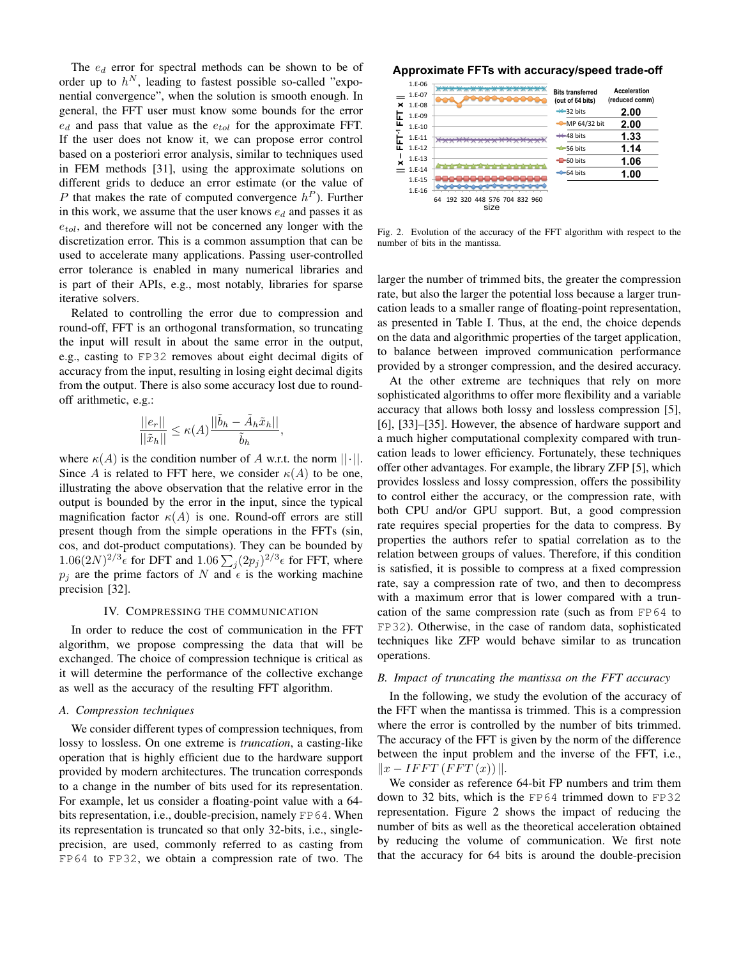The *e<sup>d</sup>* error for spectral methods can be shown to be of order up to  $h^N$ , leading to fastest possible so-called "exponential convergence", when the solution is smooth enough. In general, the FFT user must know some bounds for the error *e<sup>d</sup>* and pass that value as the *etol* for the approximate FFT. If the user does not know it, we can propose error control based on a posteriori error analysis, similar to techniques used in FEM methods [31], using the approximate solutions on different grids to deduce an error estimate (or the value of *P* that makes the rate of computed convergence  $h^P$ ). Further in this work, we assume that the user knows *e<sup>d</sup>* and passes it as *etol*, and therefore will not be concerned any longer with the discretization error. This is a common assumption that can be used to accelerate many applications. Passing user-controlled error tolerance is enabled in many numerical libraries and is part of their APIs, e.g., most notably, libraries for sparse iterative solvers.

Related to controlling the error due to compression and round-off, FFT is an orthogonal transformation, so truncating the input will result in about the same error in the output, e.g., casting to FP32 removes about eight decimal digits of accuracy from the input, resulting in losing eight decimal digits from the output. There is also some accuracy lost due to roundoff arithmetic, e.g.:

$$
\frac{||e_r||}{||\tilde{x}_h||} \le \kappa(A) \frac{||\tilde{b}_h - \tilde{A}_h \tilde{x}_h||}{\tilde{b}_h}
$$

*,*

where  $\kappa(A)$  is the condition number of *A* w.r.t. the norm  $||\cdot||$ . Since *A* is related to FFT here, we consider  $\kappa(A)$  to be one, illustrating the above observation that the relative error in the output is bounded by the error in the input, since the typical magnification factor  $\kappa(A)$  is one. Round-off errors are still present though from the simple operations in the FFTs (sin, cos, and dot-product computations). They can be bounded by  $1.06(2N)^{2/3}\epsilon$  for DFT and  $1.06\sum_j (2p_j)^{2/3}\epsilon$  for FFT, where  $p_i$  are the prime factors of *N* and  $\epsilon$  is the working machine precision [32].

#### IV. COMPRESSING THE COMMUNICATION

In order to reduce the cost of communication in the FFT algorithm, we propose compressing the data that will be exchanged. The choice of compression technique is critical as it will determine the performance of the collective exchange as well as the accuracy of the resulting FFT algorithm.

# *A. Compression techniques*

We consider different types of compression techniques, from lossy to lossless. On one extreme is *truncation*, a casting-like operation that is highly efficient due to the hardware support provided by modern architectures. The truncation corresponds to a change in the number of bits used for its representation. For example, let us consider a floating-point value with a 64 bits representation, i.e., double-precision, namely FP64. When its representation is truncated so that only 32-bits, i.e., singleprecision, are used, commonly referred to as casting from FP64 to FP32, we obtain a compression rate of two. The

### **Approximate FFTs with accuracy/speed trade-off**

|                              | 1.E-06   | 2015-2015                                 |                                             |                                |  |
|------------------------------|----------|-------------------------------------------|---------------------------------------------|--------------------------------|--|
| ×<br>Б<br>щ<br>iı<br>п.<br>× | 1.E-07   |                                           | <b>Bits transferred</b><br>(out of 64 bits) | Acceleration<br>(reduced comm) |  |
|                              | $1.E-08$ |                                           | $\rightarrow$ 32 bits                       | 2.00                           |  |
|                              | 1.E-09   |                                           |                                             |                                |  |
|                              | $1.F-10$ |                                           | MP 64/32 bit                                | 2.00                           |  |
|                              | $1.F-11$ |                                           | $\leftarrow$ 48 bits                        | 1.33                           |  |
|                              | $1.F-12$ |                                           | $-56$ bits                                  | 1.14                           |  |
|                              | $1.E-13$ |                                           | $-60$ bits                                  | 1.06                           |  |
|                              | $1.E-14$ |                                           | $-64$ bits                                  | 1.00                           |  |
|                              | $1.E-15$ |                                           |                                             |                                |  |
|                              | $1.F-16$ |                                           |                                             |                                |  |
|                              |          | 192 320 448 576 704 832 960<br>64<br>size |                                             |                                |  |

Fig. 2. Evolution of the accuracy of the FFT algorithm with respect to the number of bits in the mantissa.

larger the number of trimmed bits, the greater the compression rate, but also the larger the potential loss because a larger truncation leads to a smaller range of floating-point representation, as presented in Table I. Thus, at the end, the choice depends on the data and algorithmic properties of the target application, to balance between improved communication performance provided by a stronger compression, and the desired accuracy.

At the other extreme are techniques that rely on more sophisticated algorithms to offer more flexibility and a variable accuracy that allows both lossy and lossless compression [5], [6], [33]–[35]. However, the absence of hardware support and a much higher computational complexity compared with truncation leads to lower efficiency. Fortunately, these techniques offer other advantages. For example, the library ZFP [5], which provides lossless and lossy compression, offers the possibility to control either the accuracy, or the compression rate, with both CPU and/or GPU support. But, a good compression rate requires special properties for the data to compress. By properties the authors refer to spatial correlation as to the relation between groups of values. Therefore, if this condition is satisfied, it is possible to compress at a fixed compression rate, say a compression rate of two, and then to decompress with a maximum error that is lower compared with a truncation of the same compression rate (such as from FP64 to FP32). Otherwise, in the case of random data, sophisticated techniques like ZFP would behave similar to as truncation operations.

#### *B. Impact of truncating the mantissa on the FFT accuracy*

In the following, we study the evolution of the accuracy of the FFT when the mantissa is trimmed. This is a compression where the error is controlled by the number of bits trimmed. The accuracy of the FFT is given by the norm of the difference between the input problem and the inverse of the FFT, i.e.,  $||x-IFFT(FFT(x))||.$ 

We consider as reference 64-bit FP numbers and trim them down to 32 bits, which is the FP64 trimmed down to FP32 representation. Figure 2 shows the impact of reducing the number of bits as well as the theoretical acceleration obtained by reducing the volume of communication. We first note that the accuracy for 64 bits is around the double-precision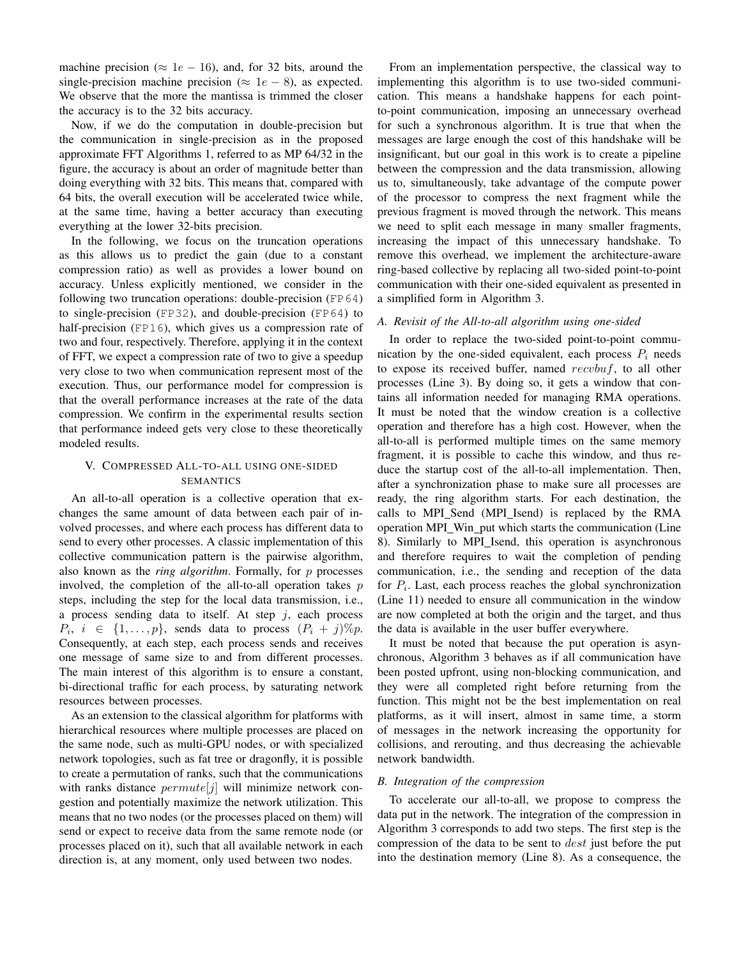machine precision ( $\approx 1e - 16$ ), and, for 32 bits, around the single-precision machine precision ( $\approx 1e - 8$ ), as expected. We observe that the more the mantissa is trimmed the closer the accuracy is to the 32 bits accuracy.

Now, if we do the computation in double-precision but the communication in single-precision as in the proposed approximate FFT Algorithms 1, referred to as MP 64/32 in the figure, the accuracy is about an order of magnitude better than doing everything with 32 bits. This means that, compared with 64 bits, the overall execution will be accelerated twice while, at the same time, having a better accuracy than executing everything at the lower 32-bits precision.

In the following, we focus on the truncation operations as this allows us to predict the gain (due to a constant compression ratio) as well as provides a lower bound on accuracy. Unless explicitly mentioned, we consider in the following two truncation operations: double-precision (FP64) to single-precision (FP32), and double-precision (FP64) to half-precision (FP16), which gives us a compression rate of two and four, respectively. Therefore, applying it in the context of FFT, we expect a compression rate of two to give a speedup very close to two when communication represent most of the execution. Thus, our performance model for compression is that the overall performance increases at the rate of the data compression. We confirm in the experimental results section that performance indeed gets very close to these theoretically modeled results.

# V. COMPRESSED ALL-TO-ALL USING ONE-SIDED SEMANTICS

An all-to-all operation is a collective operation that exchanges the same amount of data between each pair of involved processes, and where each process has different data to send to every other processes. A classic implementation of this collective communication pattern is the pairwise algorithm, also known as the *ring algorithm*. Formally, for *p* processes involved, the completion of the all-to-all operation takes *p* steps, including the step for the local data transmission, i.e., a process sending data to itself. At step *j*, each process  $P_i$ ,  $i \in \{1, \ldots, p\}$ , sends data to process  $(P_i + j) \% p$ . Consequently, at each step, each process sends and receives one message of same size to and from different processes. The main interest of this algorithm is to ensure a constant, bi-directional traffic for each process, by saturating network resources between processes.

As an extension to the classical algorithm for platforms with hierarchical resources where multiple processes are placed on the same node, such as multi-GPU nodes, or with specialized network topologies, such as fat tree or dragonfly, it is possible to create a permutation of ranks, such that the communications with ranks distance *permute*[*j*] will minimize network congestion and potentially maximize the network utilization. This means that no two nodes (or the processes placed on them) will send or expect to receive data from the same remote node (or processes placed on it), such that all available network in each direction is, at any moment, only used between two nodes.

From an implementation perspective, the classical way to implementing this algorithm is to use two-sided communication. This means a handshake happens for each pointto-point communication, imposing an unnecessary overhead for such a synchronous algorithm. It is true that when the messages are large enough the cost of this handshake will be insignificant, but our goal in this work is to create a pipeline between the compression and the data transmission, allowing us to, simultaneously, take advantage of the compute power of the processor to compress the next fragment while the previous fragment is moved through the network. This means we need to split each message in many smaller fragments, increasing the impact of this unnecessary handshake. To remove this overhead, we implement the architecture-aware ring-based collective by replacing all two-sided point-to-point communication with their one-sided equivalent as presented in a simplified form in Algorithm 3.

#### *A. Revisit of the All-to-all algorithm using one-sided*

In order to replace the two-sided point-to-point communication by the one-sided equivalent, each process  $P_i$  needs to expose its received buffer, named *recvbuf*, to all other processes (Line 3). By doing so, it gets a window that contains all information needed for managing RMA operations. It must be noted that the window creation is a collective operation and therefore has a high cost. However, when the all-to-all is performed multiple times on the same memory fragment, it is possible to cache this window, and thus reduce the startup cost of the all-to-all implementation. Then, after a synchronization phase to make sure all processes are ready, the ring algorithm starts. For each destination, the calls to MPI Send (MPI Isend) is replaced by the RMA operation MPI Win put which starts the communication (Line 8). Similarly to MPI Isend, this operation is asynchronous and therefore requires to wait the completion of pending communication, i.e., the sending and reception of the data for *Pi*. Last, each process reaches the global synchronization (Line 11) needed to ensure all communication in the window are now completed at both the origin and the target, and thus the data is available in the user buffer everywhere.

It must be noted that because the put operation is asynchronous, Algorithm 3 behaves as if all communication have been posted upfront, using non-blocking communication, and they were all completed right before returning from the function. This might not be the best implementation on real platforms, as it will insert, almost in same time, a storm of messages in the network increasing the opportunity for collisions, and rerouting, and thus decreasing the achievable network bandwidth.

#### *B. Integration of the compression*

To accelerate our all-to-all, we propose to compress the data put in the network. The integration of the compression in Algorithm 3 corresponds to add two steps. The first step is the compression of the data to be sent to *dest* just before the put into the destination memory (Line 8). As a consequence, the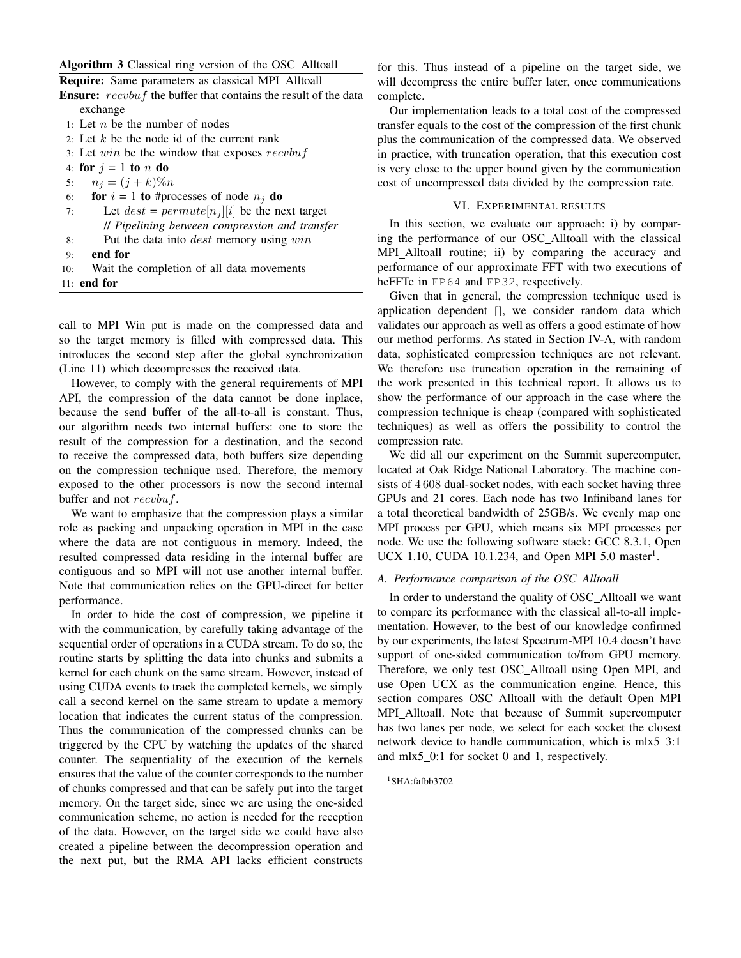Algorithm 3 Classical ring version of the OSC Alltoall

| Algurium 9 Classical ring version of the OSC_Amoan                     |
|------------------------------------------------------------------------|
| <b>Require:</b> Same parameters as classical MPI_Alltoall              |
| <b>Ensure:</b> recvbuf the buffer that contains the result of the data |
| exchange                                                               |
| 1: Let <i>n</i> be the number of nodes                                 |
| 2: Let $k$ be the node id of the current rank                          |
| 3: Let $win$ be the window that exposes $recvbu f$                     |
| 4: for $j = 1$ to n do                                                 |
| 5: $n_i = (j + k)\%n$                                                  |
| 6: <b>for</b> $i = 1$ to #processes of node $n_i$ do                   |
| Let $dest = permute[n_i][i]$ be the next target<br>7:                  |
| // Pipelining between compression and transfer                         |
| Put the data into <i>dest</i> memory using $win$<br>8:                 |
| end for<br>9:                                                          |
|                                                                        |

10: Wait the completion of all data movements

11: end for

call to MPI\_Win\_put is made on the compressed data and so the target memory is filled with compressed data. This introduces the second step after the global synchronization (Line 11) which decompresses the received data.

However, to comply with the general requirements of MPI API, the compression of the data cannot be done inplace, because the send buffer of the all-to-all is constant. Thus, our algorithm needs two internal buffers: one to store the result of the compression for a destination, and the second to receive the compressed data, both buffers size depending on the compression technique used. Therefore, the memory exposed to the other processors is now the second internal buffer and not *recvbuf*.

We want to emphasize that the compression plays a similar role as packing and unpacking operation in MPI in the case where the data are not contiguous in memory. Indeed, the resulted compressed data residing in the internal buffer are contiguous and so MPI will not use another internal buffer. Note that communication relies on the GPU-direct for better performance.

In order to hide the cost of compression, we pipeline it with the communication, by carefully taking advantage of the sequential order of operations in a CUDA stream. To do so, the routine starts by splitting the data into chunks and submits a kernel for each chunk on the same stream. However, instead of using CUDA events to track the completed kernels, we simply call a second kernel on the same stream to update a memory location that indicates the current status of the compression. Thus the communication of the compressed chunks can be triggered by the CPU by watching the updates of the shared counter. The sequentiality of the execution of the kernels ensures that the value of the counter corresponds to the number of chunks compressed and that can be safely put into the target memory. On the target side, since we are using the one-sided communication scheme, no action is needed for the reception of the data. However, on the target side we could have also created a pipeline between the decompression operation and the next put, but the RMA API lacks efficient constructs

for this. Thus instead of a pipeline on the target side, we will decompress the entire buffer later, once communications complete.

Our implementation leads to a total cost of the compressed transfer equals to the cost of the compression of the first chunk plus the communication of the compressed data. We observed in practice, with truncation operation, that this execution cost is very close to the upper bound given by the communication cost of uncompressed data divided by the compression rate.

# VI. EXPERIMENTAL RESULTS

In this section, we evaluate our approach: i) by comparing the performance of our OSC Alltoall with the classical MPI\_Alltoall routine; ii) by comparing the accuracy and performance of our approximate FFT with two executions of heFFTe in FP64 and FP32, respectively.

Given that in general, the compression technique used is application dependent [], we consider random data which validates our approach as well as offers a good estimate of how our method performs. As stated in Section IV-A, with random data, sophisticated compression techniques are not relevant. We therefore use truncation operation in the remaining of the work presented in this technical report. It allows us to show the performance of our approach in the case where the compression technique is cheap (compared with sophisticated techniques) as well as offers the possibility to control the compression rate.

We did all our experiment on the Summit supercomputer, located at Oak Ridge National Laboratory. The machine consists of 4 608 dual-socket nodes, with each socket having three GPUs and 21 cores. Each node has two Infiniband lanes for a total theoretical bandwidth of 25GB/s. We evenly map one MPI process per GPU, which means six MPI processes per node. We use the following software stack: GCC 8.3.1, Open UCX 1.10, CUDA 10.1.234, and Open MPI 5.0 master<sup>1</sup>.

# *A. Performance comparison of the OSC Alltoall*

In order to understand the quality of OSC Alltoall we want to compare its performance with the classical all-to-all implementation. However, to the best of our knowledge confirmed by our experiments, the latest Spectrum-MPI 10.4 doesn't have support of one-sided communication to/from GPU memory. Therefore, we only test OSC Alltoall using Open MPI, and use Open UCX as the communication engine. Hence, this section compares OSC Alltoall with the default Open MPI MPI\_Alltoall. Note that because of Summit supercomputer has two lanes per node, we select for each socket the closest network device to handle communication, which is mlx5 3:1 and mlx5 0:1 for socket 0 and 1, respectively.

#### ${}^{1}$ SHA:fafbb3702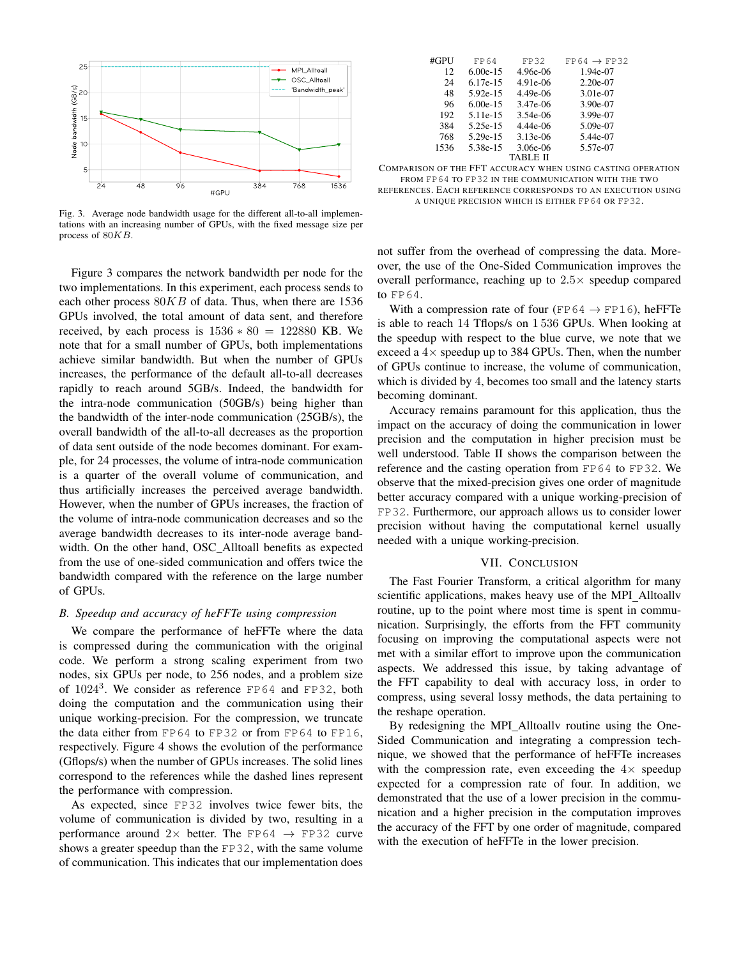

Fig. 3. Average node bandwidth usage for the different all-to-all implementations with an increasing number of GPUs, with the fixed message size per process of 80*KB*.

Figure 3 compares the network bandwidth per node for the two implementations. In this experiment, each process sends to each other process 80*KB* of data. Thus, when there are 1536 GPUs involved, the total amount of data sent, and therefore received, by each process is  $1536 * 80 = 122880$  KB. We note that for a small number of GPUs, both implementations achieve similar bandwidth. But when the number of GPUs increases, the performance of the default all-to-all decreases rapidly to reach around 5GB/s. Indeed, the bandwidth for the intra-node communication (50GB/s) being higher than the bandwidth of the inter-node communication (25GB/s), the overall bandwidth of the all-to-all decreases as the proportion of data sent outside of the node becomes dominant. For example, for 24 processes, the volume of intra-node communication is a quarter of the overall volume of communication, and thus artificially increases the perceived average bandwidth. However, when the number of GPUs increases, the fraction of the volume of intra-node communication decreases and so the average bandwidth decreases to its inter-node average bandwidth. On the other hand, OSC Alltoall benefits as expected from the use of one-sided communication and offers twice the bandwidth compared with the reference on the large number of GPUs.

### *B. Speedup and accuracy of heFFTe using compression*

We compare the performance of heFFTe where the data is compressed during the communication with the original code. We perform a strong scaling experiment from two nodes, six GPUs per node, to 256 nodes, and a problem size of  $1024<sup>3</sup>$ . We consider as reference FP64 and FP32, both doing the computation and the communication using their unique working-precision. For the compression, we truncate the data either from FP64 to FP32 or from FP64 to FP16, respectively. Figure 4 shows the evolution of the performance (Gflops/s) when the number of GPUs increases. The solid lines correspond to the references while the dashed lines represent the performance with compression.

As expected, since FP32 involves twice fewer bits, the volume of communication is divided by two, resulting in a performance around  $2 \times$  better. The FP64  $\rightarrow$  FP32 curve shows a greater speedup than the FP32, with the same volume of communication. This indicates that our implementation does

| #GPU | FP64       | FP32         | $FP64 \rightarrow FP32$ |
|------|------------|--------------|-------------------------|
| 12   | $6.00e-15$ | $4.96e-06$   | 1.94e-07                |
| 24   | $6.17e-15$ | 4.91e-06     | $2.20e-07$              |
| 48   | $5.92e-15$ | $4.49e - 06$ | 3.01e-07                |
| 96   | $6.00e-15$ | 3.47e-06     | 3.90e-07                |
| 192  | 5.11e-15   | 3.54e-06     | 3.99e-07                |
| 384  | 5.25e-15   | $4.44e-06$   | 5.09e-07                |
| 768  | 5.29e-15   | $3.13e-06$   | 5.44e-07                |
| 1536 | 5.38e-15   | 3.06e-06     | 5.57e-07                |
|      |            | TABLE II     |                         |

| COMPARISON OF THE FFT ACCURACY WHEN USING CASTING OPERATION |  |  |  |
|-------------------------------------------------------------|--|--|--|
| FROM FP64 TO FP32 IN THE COMMUNICATION WITH THE TWO         |  |  |  |

REFERENCES. EACH REFERENCE CORRESPONDS TO AN EXECUTION USING A UNIQUE PRECISION WHICH IS EITHER FP64 OR FP32.

not suffer from the overhead of compressing the data. Moreover, the use of the One-Sided Communication improves the overall performance, reaching up to  $2.5 \times$  speedup compared to FP64.

With a compression rate of four (FP64  $\rightarrow$  FP16), heFFTe is able to reach 14 Tflops/s on 1 536 GPUs. When looking at the speedup with respect to the blue curve, we note that we exceed a  $4\times$  speedup up to 384 GPUs. Then, when the number of GPUs continue to increase, the volume of communication, which is divided by 4, becomes too small and the latency starts becoming dominant.

Accuracy remains paramount for this application, thus the impact on the accuracy of doing the communication in lower precision and the computation in higher precision must be well understood. Table II shows the comparison between the reference and the casting operation from FP64 to FP32. We observe that the mixed-precision gives one order of magnitude better accuracy compared with a unique working-precision of FP32. Furthermore, our approach allows us to consider lower precision without having the computational kernel usually needed with a unique working-precision.

# VII. CONCLUSION

The Fast Fourier Transform, a critical algorithm for many scientific applications, makes heavy use of the MPI\_Alltoallv routine, up to the point where most time is spent in communication. Surprisingly, the efforts from the FFT community focusing on improving the computational aspects were not met with a similar effort to improve upon the communication aspects. We addressed this issue, by taking advantage of the FFT capability to deal with accuracy loss, in order to compress, using several lossy methods, the data pertaining to the reshape operation.

By redesigning the MPI Alltoallv routine using the One-Sided Communication and integrating a compression technique, we showed that the performance of heFFTe increases with the compression rate, even exceeding the  $4\times$  speedup expected for a compression rate of four. In addition, we demonstrated that the use of a lower precision in the communication and a higher precision in the computation improves the accuracy of the FFT by one order of magnitude, compared with the execution of heFFTe in the lower precision.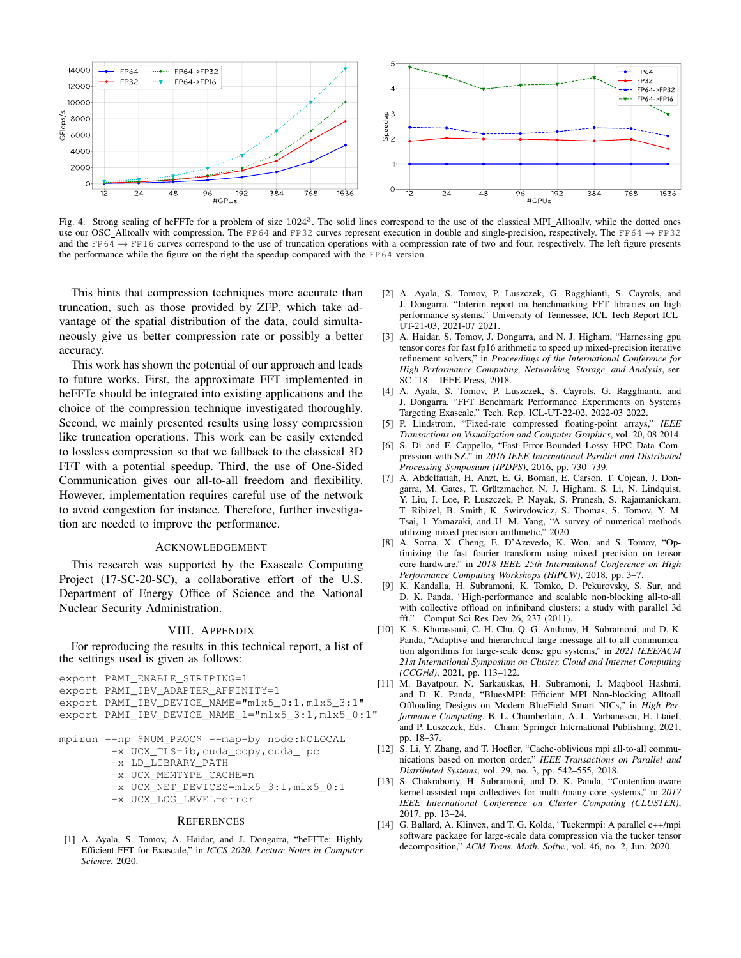

Fig. 4. Strong scaling of heFFTe for a problem of size 10243. The solid lines correspond to the use of the classical MPI Alltoallv, while the dotted ones use our OSC\_Alltoally with compression. The FP64 and FP32 curves represent execution in double and single-precision, respectively. The FP64  $\rightarrow$  FP32 and the FP64  $\rightarrow$  FP16 curves correspond to the use of truncation operations with a compression rate of two and four, respectively. The left figure presents the performance while the figure on the right the speedup compared with the FP64 version.

This hints that compression techniques more accurate than truncation, such as those provided by ZFP, which take advantage of the spatial distribution of the data, could simultaneously give us better compression rate or possibly a better accuracy.

This work has shown the potential of our approach and leads to future works. First, the approximate FFT implemented in heFFTe should be integrated into existing applications and the choice of the compression technique investigated thoroughly. Second, we mainly presented results using lossy compression like truncation operations. This work can be easily extended to lossless compression so that we fallback to the classical 3D FFT with a potential speedup. Third, the use of One-Sided Communication gives our all-to-all freedom and flexibility. However, implementation requires careful use of the network to avoid congestion for instance. Therefore, further investigation are needed to improve the performance.

#### ACKNOWLEDGEMENT

This research was supported by the Exascale Computing Project (17-SC-20-SC), a collaborative effort of the U.S. Department of Energy Office of Science and the National Nuclear Security Administration.

#### VIII. APPENDIX

For reproducing the results in this technical report, a list of the settings used is given as follows:

export PAMI\_ENABLE\_STRIPING=1

export PAMI\_IBV\_ADAPTER\_AFFINITY=1

export PAMI\_IBV\_DEVICE\_NAME="mlx5\_0:1,mlx5\_3:1"

- export PAMI\_IBV\_DEVICE\_NAME\_1="mlx5\_3:1,mlx5\_0:1"
- mpirun --np \$NUM\_PROC\$ --map-by node:NOLOCAL
	- -x UCX\_TLS=ib,cuda\_copy,cuda\_ipc
	- -x LD\_LIBRARY\_PATH
	- -x UCX\_MEMTYPE\_CACHE=n
	- -x UCX\_NET\_DEVICES=mlx5\_3:1,mlx5\_0:1
	- -x UCX\_LOG\_LEVEL=error

#### **REFERENCES**

[1] A. Ayala, S. Tomov, A. Haidar, and J. Dongarra, "heFFTe: Highly Efficient FFT for Exascale," in *ICCS 2020. Lecture Notes in Computer Science*, 2020.

- [2] A. Ayala, S. Tomov, P. Luszczek, G. Ragghianti, S. Cayrols, and J. Dongarra, "Interim report on benchmarking FFT libraries on high performance systems," University of Tennessee, ICL Tech Report ICL-UT-21-03, 2021-07 2021.
- [3] A. Haidar, S. Tomov, J. Dongarra, and N. J. Higham, "Harnessing gpu tensor cores for fast fp16 arithmetic to speed up mixed-precision iterative refinement solvers," in *Proceedings of the International Conference for High Performance Computing, Networking, Storage, and Analysis*, ser. SC '18. IEEE Press, 2018.
- [4] A. Ayala, S. Tomov, P. Luszczek, S. Cayrols, G. Ragghianti, and J. Dongarra, "FFT Benchmark Performance Experiments on Systems Targeting Exascale," Tech. Rep. ICL-UT-22-02, 2022-03 2022.
- [5] P. Lindstrom, "Fixed-rate compressed floating-point arrays," *IEEE Transactions on Visualization and Computer Graphics*, vol. 20, 08 2014.
- [6] S. Di and F. Cappello, "Fast Error-Bounded Lossy HPC Data Compression with SZ," in *2016 IEEE International Parallel and Distributed Processing Symposium (IPDPS)*, 2016, pp. 730–739.
- [7] A. Abdelfattah, H. Anzt, E. G. Boman, E. Carson, T. Cojean, J. Dongarra, M. Gates, T. Grützmacher, N. J. Higham, S. Li, N. Lindquist, Y. Liu, J. Loe, P. Luszczek, P. Nayak, S. Pranesh, S. Rajamanickam, T. Ribizel, B. Smith, K. Swirydowicz, S. Thomas, S. Tomov, Y. M. Tsai, I. Yamazaki, and U. M. Yang, "A survey of numerical methods utilizing mixed precision arithmetic," 2020.
- [8] A. Sorna, X. Cheng, E. D'Azevedo, K. Won, and S. Tomov, "Optimizing the fast fourier transform using mixed precision on tensor core hardware," in *2018 IEEE 25th International Conference on High Performance Computing Workshops (HiPCW)*, 2018, pp. 3–7.
- [9] K. Kandalla, H. Subramoni, K. Tomko, D. Pekurovsky, S. Sur, and D. K. Panda, "High-performance and scalable non-blocking all-to-all with collective offload on infiniband clusters: a study with parallel 3d fft." Comput Sci Res Dev 26, 237 (2011).
- [10] K. S. Khorassani, C.-H. Chu, Q. G. Anthony, H. Subramoni, and D. K. Panda, "Adaptive and hierarchical large message all-to-all communication algorithms for large-scale dense gpu systems," in *2021 IEEE/ACM 21st International Symposium on Cluster, Cloud and Internet Computing (CCGrid)*, 2021, pp. 113–122.
- [11] M. Bayatpour, N. Sarkauskas, H. Subramoni, J. Maqbool Hashmi, and D. K. Panda, "BluesMPI: Efficient MPI Non-blocking Alltoall Offloading Designs on Modern BlueField Smart NICs," in *High Performance Computing*, B. L. Chamberlain, A.-L. Varbanescu, H. Ltaief, and P. Luszczek, Eds. Cham: Springer International Publishing, 2021, pp. 18–37.
- [12] S. Li, Y. Zhang, and T. Hoefler, "Cache-oblivious mpi all-to-all communications based on morton order," *IEEE Transactions on Parallel and Distributed Systems*, vol. 29, no. 3, pp. 542–555, 2018.
- [13] S. Chakraborty, H. Subramoni, and D. K. Panda, "Contention-aware kernel-assisted mpi collectives for multi-/many-core systems," in *2017 IEEE International Conference on Cluster Computing (CLUSTER)*, 2017, pp. 13–24.
- [14] G. Ballard, A. Klinvex, and T. G. Kolda, "Tuckermpi: A parallel c++/mpi software package for large-scale data compression via the tucker tensor decomposition," *ACM Trans. Math. Softw.*, vol. 46, no. 2, Jun. 2020.